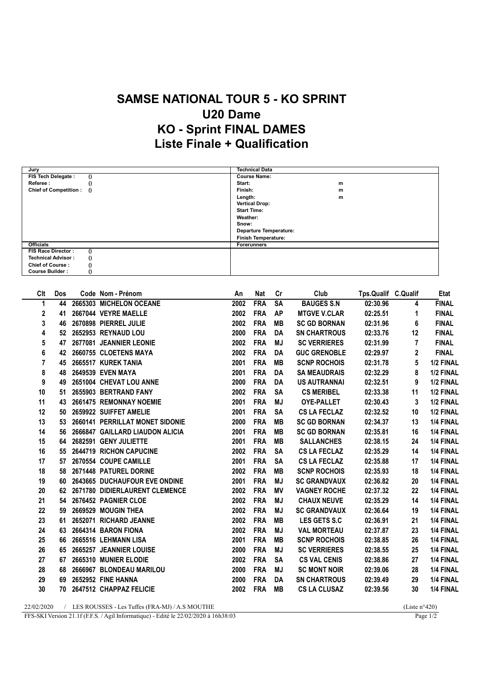## SAMSE NATIONAL TOUR 5 - KO SPRINT U20 Dame KO - Sprint FINAL DAMES Liste Finale + Qualification

| Jury                                  | <b>Technical Data</b>         |
|---------------------------------------|-------------------------------|
| FIS Tech Delegate :<br>$\theta$       | <b>Course Name:</b>           |
| Referee:                              | Start:<br>m                   |
| Chief of Competition : ()             | Finish:<br>m                  |
|                                       | Length:<br>m                  |
|                                       | <b>Vertical Drop:</b>         |
|                                       | <b>Start Time:</b>            |
|                                       | Weather:                      |
|                                       | Snow:                         |
|                                       | <b>Departure Temperature:</b> |
|                                       | <b>Finish Temperature:</b>    |
| <b>Officials</b>                      | <b>Forerunners</b>            |
| FIS Race Director:                    |                               |
| <b>Technical Advisor:</b><br>$\theta$ |                               |
| <b>Chief of Course:</b>               |                               |
| <b>Course Builder:</b>                |                               |

| Clt | Dos | Code Nom - Prénom               | An   | <b>Nat</b> | cr        | Club                | Tps.Qualif C.Qualif |                | Etat         |
|-----|-----|---------------------------------|------|------------|-----------|---------------------|---------------------|----------------|--------------|
| 1   | 44  | 2665303 MICHELON OCEANE         | 2002 | <b>FRA</b> | <b>SA</b> | <b>BAUGES S.N</b>   | 02:30.96            | 4              | <b>FINAL</b> |
| 2   | 41  | 2667044 VEYRE MAELLE            | 2002 | <b>FRA</b> | AP        | <b>MTGVE V.CLAR</b> | 02:25.51            | 1              | <b>FINAL</b> |
| 3   | 46  | 2670898 PIERREL JULIE           | 2002 | <b>FRA</b> | <b>MB</b> | <b>SC GD BORNAN</b> | 02:31.96            | 6              | <b>FINAL</b> |
| 4   |     | 52 2652953 REYNAUD LOU          | 2000 | <b>FRA</b> | DA        | <b>SN CHARTROUS</b> | 02:33.76            | 12             | <b>FINAL</b> |
| 5   | 47  | 2677081 JEANNIER LEONIE         | 2002 | <b>FRA</b> | <b>MJ</b> | <b>SC VERRIERES</b> | 02:31.99            | $\overline{7}$ | <b>FINAL</b> |
| 6   | 42  | 2660755 CLOETENS MAYA           | 2002 | <b>FRA</b> | DA        | <b>GUC GRENOBLE</b> | 02:29.97            | $\mathbf{2}$   | <b>FINAL</b> |
| 7   | 45  | 2665517 KUREK TANIA             | 2001 | <b>FRA</b> | MВ        | <b>SCNP ROCHOIS</b> | 02:31.78            | 5              | 1/2 FINAL    |
| 8   | 48  | 2649539 EVEN MAYA               | 2001 | <b>FRA</b> | DA        | <b>SA MEAUDRAIS</b> | 02:32.29            | 8              | 1/2 FINAL    |
| 9   | 49  | 2651004 CHEVAT LOU ANNE         | 2000 | <b>FRA</b> | DA        | <b>US AUTRANNAI</b> | 02:32.51            | 9              | 1/2 FINAL    |
| 10  | 51  | 2655903 BERTRAND FANY           | 2002 | <b>FRA</b> | <b>SA</b> | <b>CS MERIBEL</b>   | 02:33.38            | 11             | 1/2 FINAL    |
| 11  | 43  | 2661475 REMONNAY NOEMIE         | 2001 | <b>FRA</b> | MJ        | <b>OYE-PALLET</b>   | 02:30.43            | 3              | 1/2 FINAL    |
| 12  | 50  | 2659922 SUIFFET AMELIE          | 2001 | <b>FRA</b> | <b>SA</b> | <b>CS LA FECLAZ</b> | 02:32.52            | 10             | 1/2 FINAL    |
| 13  | 53  | 2660141 PERRILLAT MONET SIDONIE | 2000 | <b>FRA</b> | MВ        | <b>SC GD BORNAN</b> | 02:34.37            | 13             | 1/4 FINAL    |
| 14  | 56  | 2666847 GAILLARD LIAUDON ALICIA | 2001 | <b>FRA</b> | <b>MB</b> | <b>SC GD BORNAN</b> | 02:35.81            | 16             | 1/4 FINAL    |
| 15  | 64  | 2682591 GENY JULIETTE           | 2001 | <b>FRA</b> | <b>MB</b> | <b>SALLANCHES</b>   | 02:38.15            | 24             | 1/4 FINAL    |
| 16  | 55  | 2644719 RICHON CAPUCINE         | 2002 | <b>FRA</b> | <b>SA</b> | <b>CS LA FECLAZ</b> | 02:35.29            | 14             | 1/4 FINAL    |
| 17  | 57  | 2670554 COUPE CAMILLE           | 2001 | <b>FRA</b> | <b>SA</b> | <b>CS LA FECLAZ</b> | 02:35.88            | 17             | 1/4 FINAL    |
| 18  | 58  | 2671448 PATUREL DORINE          | 2002 | <b>FRA</b> | <b>MB</b> | <b>SCNP ROCHOIS</b> | 02:35.93            | 18             | 1/4 FINAL    |
| 19  | 60  | 2643665 DUCHAUFOUR EVE ONDINE   | 2001 | <b>FRA</b> | MJ        | <b>SC GRANDVAUX</b> | 02:36.82            | 20             | 1/4 FINAL    |
| 20  | 62  | 2671780 DIDIERLAURENT CLEMENCE  | 2002 | <b>FRA</b> | MV        | <b>VAGNEY ROCHE</b> | 02:37.32            | 22             | 1/4 FINAL    |
| 21  | 54  | 2676452 PAGNIER CLOE            | 2002 | <b>FRA</b> | MJ        | <b>CHAUX NEUVE</b>  | 02:35.29            | 14             | 1/4 FINAL    |
| 22  | 59  | 2669529 MOUGIN THEA             | 2002 | <b>FRA</b> | MJ        | <b>SC GRANDVAUX</b> | 02:36.64            | 19             | 1/4 FINAL    |
| 23  | 61  | 2652071 RICHARD JEANNE          | 2002 | <b>FRA</b> | <b>MB</b> | <b>LES GETS S.C</b> | 02:36.91            | 21             | 1/4 FINAL    |
| 24  | 63  | 2664314 BARON FIONA             | 2002 | <b>FRA</b> | MJ        | <b>VAL MORTEAU</b>  | 02:37.87            | 23             | 1/4 FINAL    |
| 25  | 66  | 2665516 LEHMANN LISA            | 2001 | <b>FRA</b> | <b>MB</b> | <b>SCNP ROCHOIS</b> | 02:38.85            | 26             | 1/4 FINAL    |
| 26  | 65  | 2665257 JEANNIER LOUISE         | 2000 | <b>FRA</b> | <b>MJ</b> | <b>SC VERRIERES</b> | 02:38.55            | 25             | 1/4 FINAL    |
| 27  | 67  | 2665310 MUNIER ELODIE           | 2002 | <b>FRA</b> | <b>SA</b> | <b>CS VAL CENIS</b> | 02:38.86            | 27             | 1/4 FINAL    |
| 28  | 68  | 2666967 BLONDEAU MARILOU        | 2000 | <b>FRA</b> | <b>MJ</b> | <b>SC MONT NOIR</b> | 02:39.06            | 28             | 1/4 FINAL    |
| 29  | 69  | 2652952 FINE HANNA              | 2000 | <b>FRA</b> | DA        | <b>SN CHARTROUS</b> | 02:39.49            | 29             | 1/4 FINAL    |
| 30  |     | 70 2647512 CHAPPAZ FELICIE      | 2002 | <b>FRA</b> | MВ        | <b>CS LA CLUSAZ</b> | 02:39.56            | 30             | 1/4 FINAL    |
|     |     |                                 |      |            |           |                     |                     |                |              |

22/02/2020 / LES ROUSSES - Les Tuffes (FRA-MJ) / A.S MOUTHE (Liste n°420)<br>FFS-SKI Version 21.1f (F.F.S. / Agil Informatique) - Edité le 22/02/2020 à 16h38:03 Page 1/2

FFS-SKI Version 21.1f (F.F.S. / Agil Informatique) - Edité le 22/02/2020 à 16h38:03